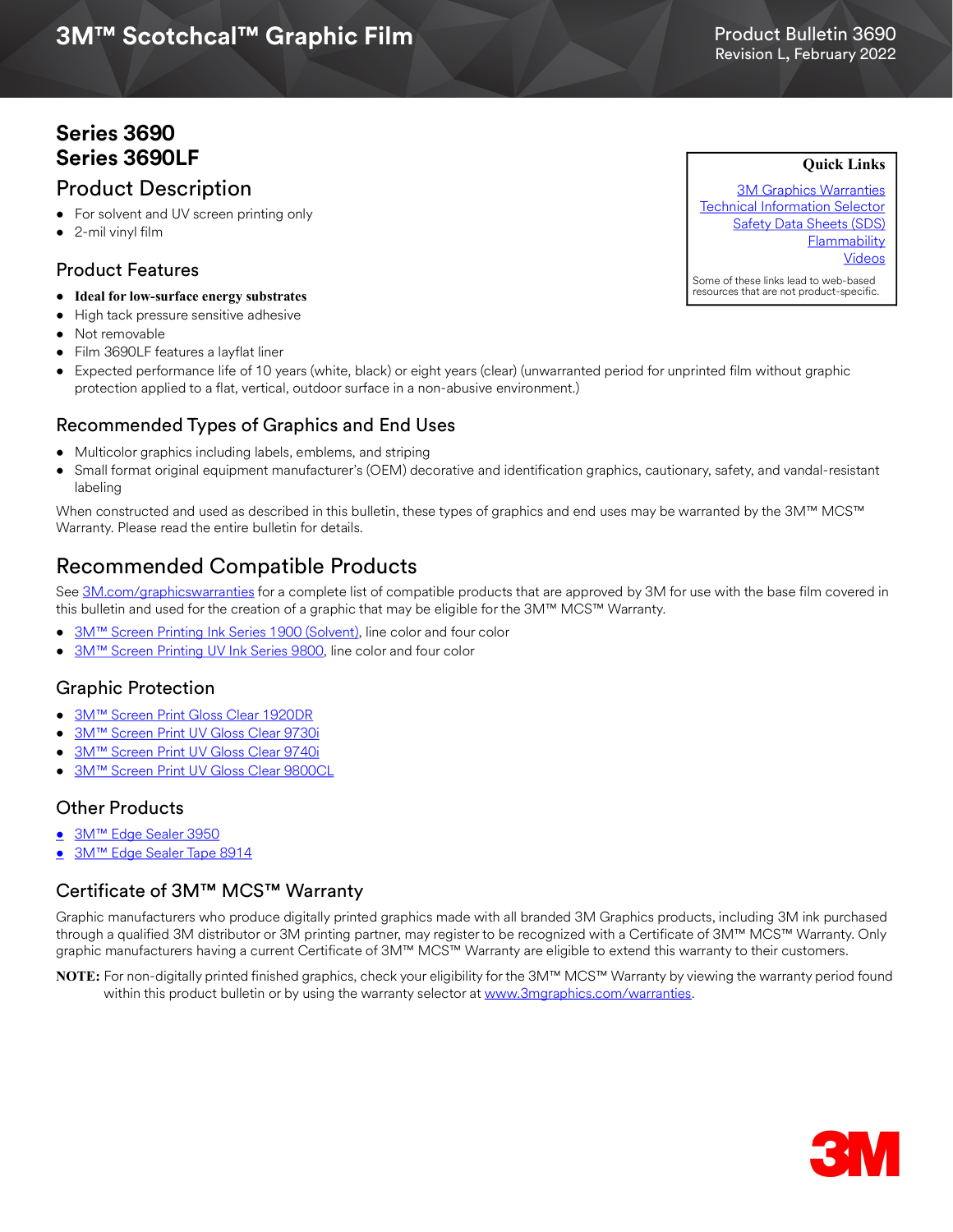# **3M™ Scotchcal™ Graphic Film**<br>Revision L, February 2022

# Product Bulletin 3690

**Quick Links**

# **Series 3690 Series 3690LF**

# Product Description

- For solvent and UV screen printing only
- 2-mil vinyl film

# Product Features

- **Ideal for low-surface energy substrates**
- High tack pressure sensitive adhesive
- Not removable
- Film 3690LF features a layflat liner
- Expected performance life of 10 years (white, black) or eight years (clear) (unwarranted period for unprinted film without graphic protection applied to a flat, vertical, outdoor surface in a non-abusive environment.)

### Recommended Types of Graphics and End Uses

- Multicolor graphics including labels, emblems, and striping
- Small format original equipment manufacturer's (OEM) decorative and identification graphics, cautionary, safety, and vandal-resistant labeling

When constructed and used as described in this bulletin, these types of graphics and end uses may be warranted by the 3M™ MCS™ Warranty. Please read the entire bulletin for details.

# Recommended Compatible Products

See [3M.com/graphicswarranties](www.3m.com/graphicswarranties) for a complete list of compatible products that are approved by 3M for use with the base film covered in this bulletin and used for the creation of a graphic that may be eligible for the 3M™ MCS™ Warranty.

- [3M™ Screen Printing Ink Series 1900 \(Solvent\)](http://multimedia.3m.com/mws/media/12348O/1900-solvent-screen-print-ink-line-and-four-color-clears.pdf), line color and four color
- [3M™ Screen Printing UV Ink Series 9800,](http://multimedia.3m.com/mws/media/381379O/9800-uv-screen-print-ink-line-and-four-color-clears.pdf) line color and four color

### Graphic Protection

- [3M™ Screen Print Gloss Clear 1920DR](http://multimedia.3m.com/mws/media/12348O/1900-solvent-screen-print-ink-line-and-four-color-clears.pdf)
- [3M™ Screen Print UV Gloss Clear 9730i](http://multimedia.3m.com/mws/media/1365986O/product-bulletin-9730i.pdf)
- [3M™ Screen Print UV Gloss Clear 9740i](http://multimedia.3m.com/mws/media/788729O/uv-clear-inkjet-and-screen-print.pdf)
- [3M™ Screen Print UV Gloss Clear 9800CL](http://multimedia.3m.com/mws/media/381379O/9800-uv-screen-print-ink-line-and-four-color-clears.pdf)

### Other Products

- [3M™ Edge Sealer 3950](http://multimedia.3m.com/mws/media/114158O/edge-sealer-3950-4150s-and-edge-sealer-tape-8914.pdf)
- [3M™ Edge Sealer Tape 8914](https://multimedia.3m.com/mws/media/114158O/edge-sealer-3950-4150s-and-edge-sealer-tape-8914.pdf)

### Certificate of 3M™ MCS™ Warranty

Graphic manufacturers who produce digitally printed graphics made with all branded 3M Graphics products, including 3M ink purchased through a qualified 3M distributor or 3M printing partner, may register to be recognized with a Certificate of 3M™ MCS™ Warranty. Only graphic manufacturers having a current Certificate of 3M™ MCS™ Warranty are eligible to extend this warranty to their customers.

**NOTE:** For non-digitally printed finished graphics, check your eligibility for the 3M™ MCS™ Warranty by viewing the warranty period found within this product bulletin or by using the warranty selector at <www.3mgraphics.com/warranties>.



[3M Graphics Warranties](http://solutions.3m.com/wps/portal/3M/en_US/Graphics/3Mgraphics/ToolsandSupport/Warranties/?WT.mc_id=www.3mgraphics.com/warranties) [Technical Information Selector](http://solutions.3m.com/wps/portal/3M/en_US/Graphics/3Mgraphics/ToolsAndSupport/TechnicalInformation/) [Safety Data Sheets \(SDS\)](http://solutions.3m.com/wps/portal/3M/en_WW/MSDS/Search?gsaAction=msdsSRA) **Flammability** [Videos](https://www.youtube.com/user/The3MGraphics)

Some of these links lead to web-based resources that are not product-specific.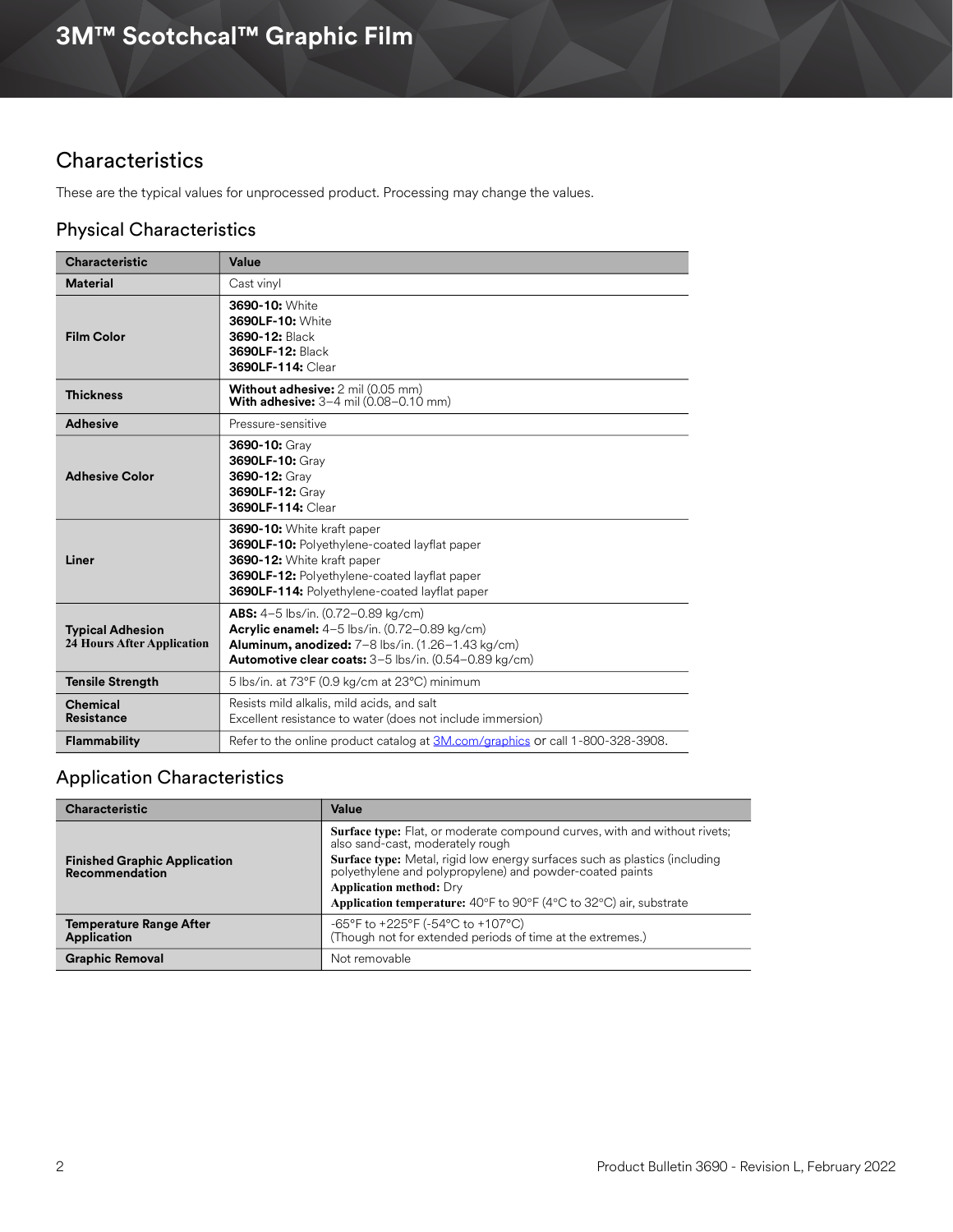# **Characteristics**

These are the typical values for unprocessed product. Processing may change the values.

# Physical Characteristics

| <b>Characteristic</b>                                        | Value                                                                                                                                                                                                     |
|--------------------------------------------------------------|-----------------------------------------------------------------------------------------------------------------------------------------------------------------------------------------------------------|
| <b>Material</b>                                              | Cast vinyl                                                                                                                                                                                                |
| <b>Film Color</b>                                            | 3690-10: White<br>3690LF-10: White<br>3690-12: Black<br>3690LF-12: Black<br>3690LF-114: Clear                                                                                                             |
| <b>Thickness</b>                                             | <b>Without adhesive:</b> 2 mil (0.05 mm)<br><b>With adhesive:</b> $3-4$ mil (0.08-0.10 mm)                                                                                                                |
| <b>Adhesive</b>                                              | Pressure-sensitive                                                                                                                                                                                        |
| <b>Adhesive Color</b>                                        | 3690-10: Gray<br>3690LF-10: Gray<br>3690-12: Gray<br>3690LF-12: Gray<br>3690LF-114: Clear                                                                                                                 |
| Liner                                                        | 3690-10: White kraft paper<br>3690LF-10: Polyethylene-coated layflat paper<br>3690-12: White kraft paper<br>3690LF-12: Polyethylene-coated layflat paper<br>3690LF-114: Polyethylene-coated layflat paper |
| <b>Typical Adhesion</b><br><b>24 Hours After Application</b> | ABS: 4-5 lbs/in. (0.72-0.89 kg/cm)<br>Acrylic enamel: 4-5 lbs/in. (0.72-0.89 kg/cm)<br>Aluminum, anodized: 7-8 lbs/in. (1.26-1.43 kg/cm)<br>Automotive clear coats: 3-5 lbs/in. (0.54-0.89 kg/cm)         |
| <b>Tensile Strength</b>                                      | 5 lbs/in. at 73°F (0.9 kg/cm at 23°C) minimum                                                                                                                                                             |
| <b>Chemical</b><br><b>Resistance</b>                         | Resists mild alkalis, mild acids, and salt<br>Excellent resistance to water (does not include immersion)                                                                                                  |
| <b>Flammability</b>                                          | Refer to the online product catalog at 3M.com/graphics or call 1-800-328-3908.                                                                                                                            |

# Application Characteristics

| <b>Characteristic</b>                                        | Value                                                                                                                                                                                                                                                                                                                                                                         |
|--------------------------------------------------------------|-------------------------------------------------------------------------------------------------------------------------------------------------------------------------------------------------------------------------------------------------------------------------------------------------------------------------------------------------------------------------------|
| <b>Finished Graphic Application</b><br><b>Recommendation</b> | <b>Surface type:</b> Flat, or moderate compound curves, with and without rivets;<br>also sand-cast, moderately rough<br><b>Surface type:</b> Metal, rigid low energy surfaces such as plastics (including<br>polyethylene and polypropylene) and powder-coated paints<br><b>Application method: Dry</b><br>Application temperature: 40°F to 90°F (4°C to 32°C) air, substrate |
| <b>Temperature Range After</b><br><b>Application</b>         | -65°F to +225°F (-54°C to +107°C)<br>(Though not for extended periods of time at the extremes.)                                                                                                                                                                                                                                                                               |
| <b>Graphic Removal</b>                                       | Not removable                                                                                                                                                                                                                                                                                                                                                                 |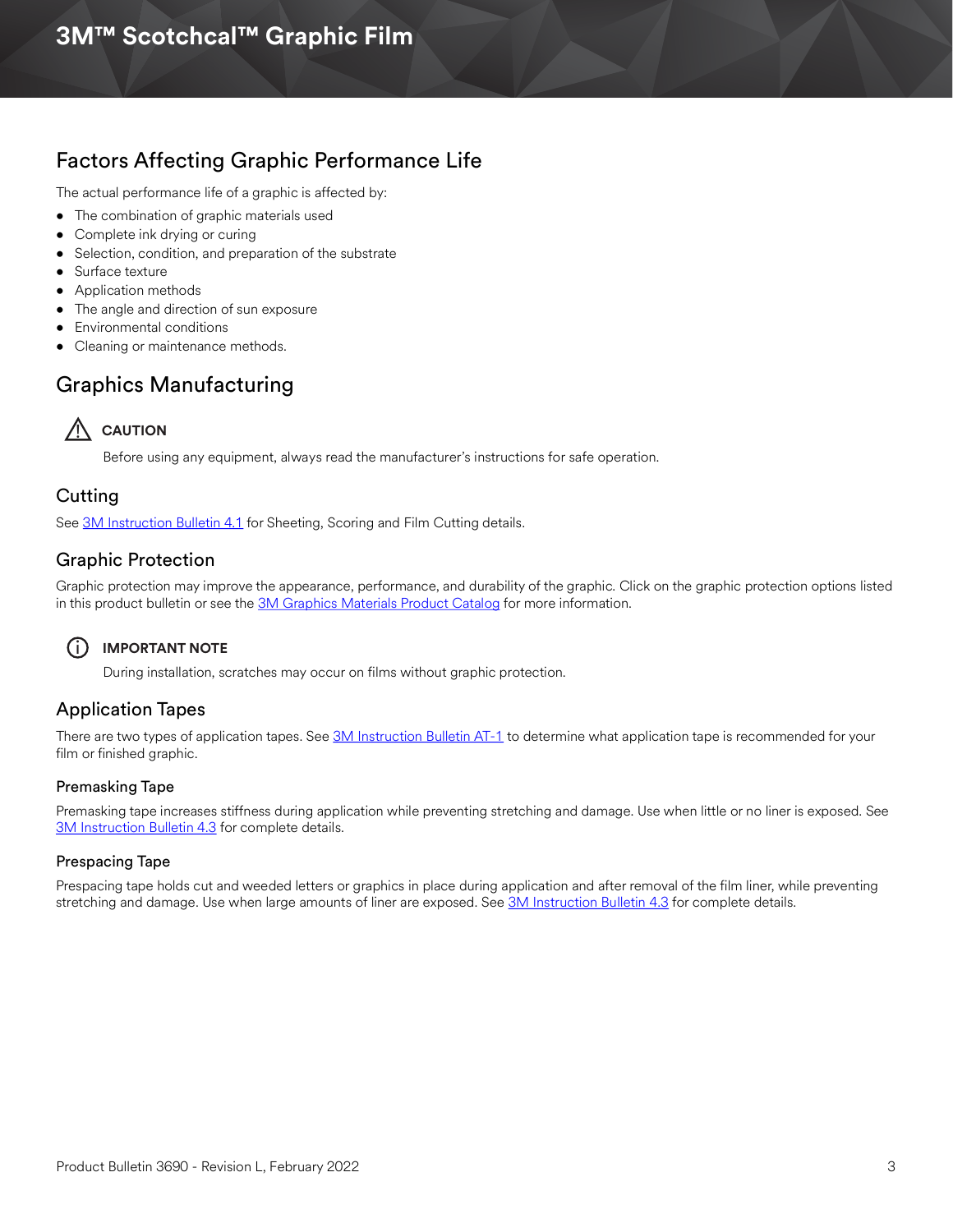# Factors Affecting Graphic Performance Life

The actual performance life of a graphic is affected by:

- The combination of graphic materials used
- Complete ink drying or curing
- Selection, condition, and preparation of the substrate
- Surface texture
- Application methods
- The angle and direction of sun exposure
- Environmental conditions
- Cleaning or maintenance methods.

# Graphics Manufacturing

# **AUTION**

Before using any equipment, always read the manufacturer's instructions for safe operation.

### **Cutting**

See [3M Instruction Bulletin 4.1](http://multimedia.3m.com/mws/media/12586O/4-1-scoring-and-cutting.pdf) for Sheeting, Scoring and Film Cutting details.

### Graphic Protection

Graphic protection may improve the appearance, performance, and durability of the graphic. Click on the graphic protection options listed in this product bulletin or see the [3M Graphics Materials Product Catalog](http://multimedia.3m.com/mws/media/443279O/inkjet-catalog-lowres.pdf) for more information.

### i **IMPORTANT NOTE**

During installation, scratches may occur on films without graphic protection.

# Application Tapes

There are two types of application tapes. See [3M Instruction Bulletin AT-1](http://multimedia.3m.com/mws/media/1032943O/instruction-bulletin-at-1-application-tables.pdf) to determine what application tape is recommended for your film or finished graphic.

#### Premasking Tape

Premasking tape increases stiffness during application while preventing stretching and damage. Use when little or no liner is exposed. See [3M Instruction Bulletin 4.3](http://multimedia.3m.com/mws/media/12587O/4-3-application-tapes-premasking-and-prespacing.pdf) for complete details.

#### Prespacing Tape

Prespacing tape holds cut and weeded letters or graphics in place during application and after removal of the film liner, while preventing stretching and damage. Use when large amounts of liner are exposed. See [3M Instruction Bulletin 4.3](http://multimedia.3m.com/mws/media/12587O/4-3-application-tapes-premasking-and-prespacing.pdf) for complete details.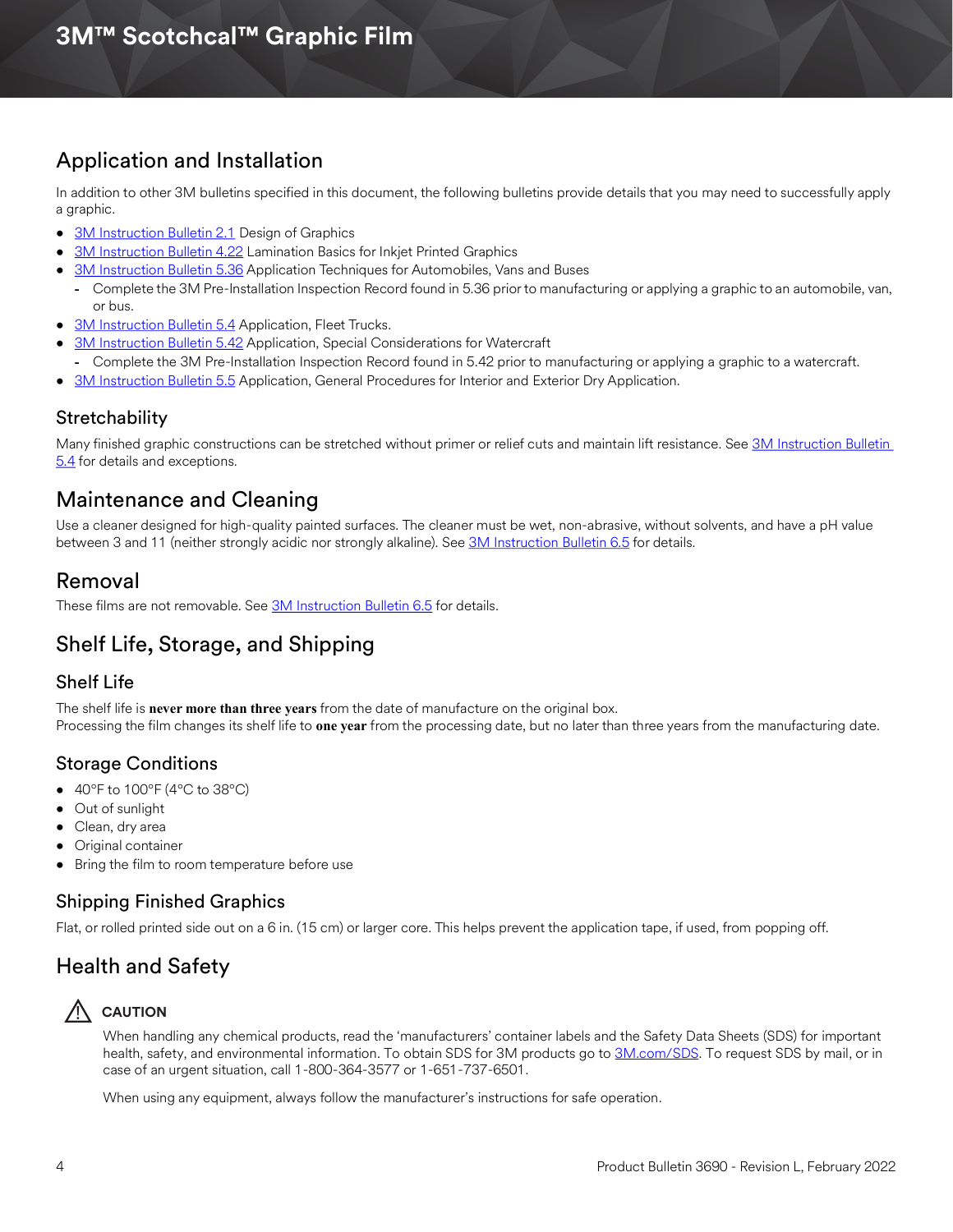# Application and Installation

In addition to other 3M bulletins specified in this document, the following bulletins provide details that you may need to successfully apply a graphic.

- [3M Instruction Bulletin 2.1](http://multimedia.3m.com/mws/media/12591O/2-1-design-of-graphics.pdf) Design of Graphics
- [3M Instruction Bulletin 4.22](http://multimedia.3m.com/mws/media/12768O/4-22-lamination-cold-roll.pdf) Lamination Basics for Inkjet Printed Graphics
- **[3M Instruction Bulletin 5.36](http://multimedia.3m.com/mws/media/100373O/5-36-application-techniques-for-automobiles-vans-and-buses.pdf) Application Techniques for Automobiles, Vans and Buses**
- **-** Complete the 3M Pre-Installation Inspection Record found in 5.36 prior to manufacturing or applying a graphic to an automobile, van, or bus.
- [3M Instruction Bulletin 5.4](http://multimedia.3m.com/mws/media/12597O/5-4-application-of-film-to-vehicles-special-applications.pdf) Application, Fleet Trucks.
- **[3M Instruction Bulletin 5.42](http://multimedia.3m.com/mws/media/503711O/application-special-considerations-for-watercraft.pdf) Application, Special Considerations for Watercraft**
- **-** Complete the 3M Pre-Installation Inspection Record found in 5.42 prior to manufacturing or applying a graphic to a watercraft.
- [3M Instruction Bulletin 5.5](https://multimedia.3m.com/mws/media/9620O/5-5-application-dry-method.pdf) Application, General Procedures for Interior and Exterior Dry Application.

### [S](https://multimedia.3m.com/mws/media/471744O/vehicle-channel-applicator-tools-vcat-2-roller-l-roller-s.pdf)tretchability

Many finished graphic constructions can be stretched without primer or relief cuts and maintain lift resistance. See 3M Instruction Bulletin [5.4](http://multimedia.3m.com/mws/media/12597O/5-4-application-of-film-to-vehicles-special-applications.pdf) for details and exceptions.

# Maintenance and Cleaning

Use a cleaner designed for high-quality painted surfaces. The cleaner must be wet, non-abrasive, without solvents, and have a pH value between 3 and 11 (neither strongly acidic nor strongly alkaline). See [3M Instruction Bulletin 6.5](http://multimedia.3m.com/mws/media/12593O/6-5-storage-handling-maintenance-removal-of-films-sheetings.pdf) for details.

# Removal

These films are not removable. See **3M Instruction Bulletin 6.5** for details.

# Shelf Life, Storage, and Shipping

### Shelf Life

The shelf life is **never more than three years** from the date of manufacture on the original box. Processing the film changes its shelf life to **one year** from the processing date, but no later than three years from the manufacturing date.

# Storage Conditions

- $\bullet$  40°F to 100°F (4°C to 38°C)
- Out of sunlight
- Clean, dry area
- Original container
- Bring the film to room temperature before use

### Shipping Finished Graphics

Flat, or rolled printed side out on a 6 in. (15 cm) or larger core. This helps prevent the application tape, if used, from popping off.

# Health and Safety

# ! **CAUTION**

When handling any chemical products, read the 'manufacturers' container labels and the Safety Data Sheets (SDS) for important health, safety, and environmental information. To obtain SDS for 3M products go to [3M.com/SDS](http://www.3m.com/SDS). To request SDS by mail, or in case of an urgent situation, call 1-800-364-3577 or 1-651-737-6501.

When using any equipment, always follow the manufacturer's instructions for safe operation.